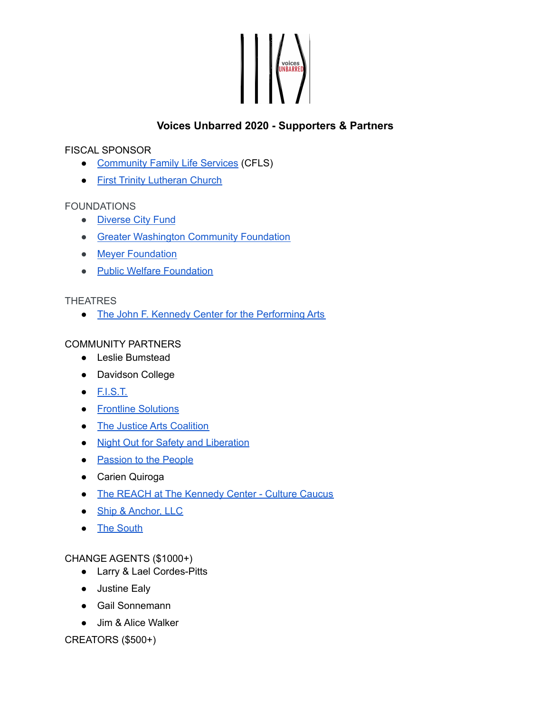# NOICES

# **Voices Unbarred 2020 - Supporters & Partners**

#### FISCAL SPONSOR

- [Community](https://www.cflsdc.org/) Family Life Services (CFLS)
- First Trinity [Lutheran](http://firsttrinitydc.org/) Church

## FOUNDATIONS

- [Diverse](https://www.diversecityfund.org/) City Fund
- **Greater [Washington](https://www.thecommunityfoundation.org/) Community Foundation**
- Meyer [Foundation](https://www.meyerfoundation.org/)
- Public Welfare [Foundation](https://www.publicwelfare.org/)

## **THEATRES**

• The John F. Kennedy Center for the [Performing](https://www.kennedy-center.org/) Arts

## COMMUNITY PARTNERS

- Leslie Bumstead
- Davidson College
- [F.I.S.T.](https://www.fistdc.org/)
- Frontline [Solutions](https://www.frontlinesol.com/)
- The Justice Arts [Coalition](https://thejusticeartscoalition.org/)
- Night Out for Safety and [Liberation](https://nosl.us/)
- [Passion](https://passiontothepeople.org/) to the People
- Carien Quiroga
- The REACH at The [Kennedy](https://www.kennedy-center.org/reach/culture-caucus/) Center Culture Caucus
- Ship & [Anchor,](https://www.shipandanchorbiz.com/) LLC
- The [South](https://www.thisthesouth.com/work)

## CHANGE AGENTS (\$1000+)

- Larry & Lael Cordes-Pitts
- Justine Ealy
- Gail Sonnemann
- Jim & Alice Walker

CREATORS (\$500+)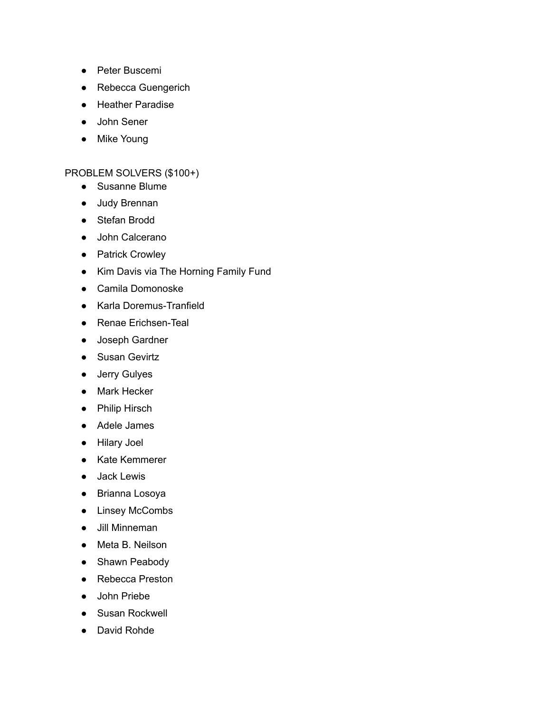- Peter Buscemi
- Rebecca Guengerich
- Heather Paradise
- John Sener
- Mike Young

## PROBLEM SOLVERS (\$100+)

- Susanne Blume
- Judy Brennan
- Stefan Brodd
- John Calcerano
- Patrick Crowley
- Kim Davis via The Horning Family Fund
- Camila Domonoske
- Karla Doremus-Tranfield
- Renae Erichsen-Teal
- Joseph Gardner
- Susan Gevirtz
- Jerry Gulyes
- Mark Hecker
- Philip Hirsch
- Adele James
- Hilary Joel
- Kate Kemmerer
- Jack Lewis
- Brianna Losoya
- Linsey McCombs
- Jill Minneman
- Meta B. Neilson
- Shawn Peabody
- Rebecca Preston
- John Priebe
- Susan Rockwell
- David Rohde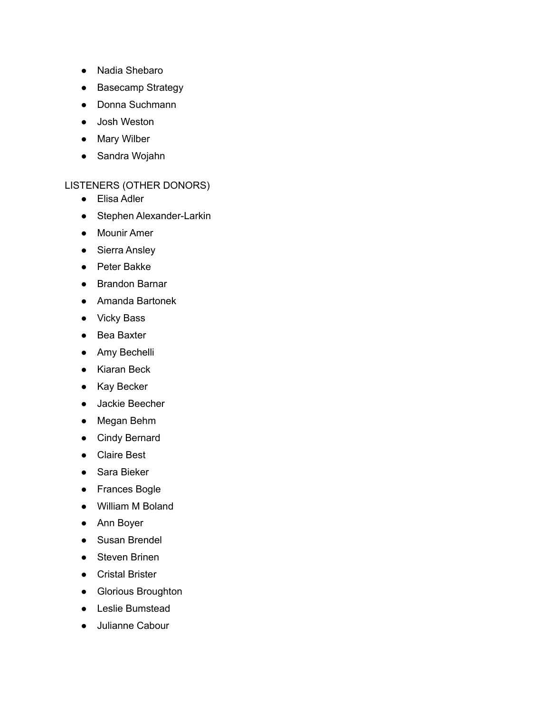- Nadia Shebaro
- Basecamp Strategy
- Donna Suchmann
- Josh Weston
- Mary Wilber
- Sandra Wojahn

#### LISTENERS (OTHER DONORS)

- Elisa Adler
- Stephen Alexander-Larkin
- Mounir Amer
- Sierra Ansley
- Peter Bakke
- Brandon Barnar
- Amanda Bartonek
- Vicky Bass
- Bea Baxter
- Amy Bechelli
- Kiaran Beck
- Kay Becker
- Jackie Beecher
- Megan Behm
- Cindy Bernard
- Claire Best
- Sara Bieker
- Frances Bogle
- William M Boland
- Ann Boyer
- Susan Brendel
- Steven Brinen
- Cristal Brister
- Glorious Broughton
- Leslie Bumstead
- Julianne Cabour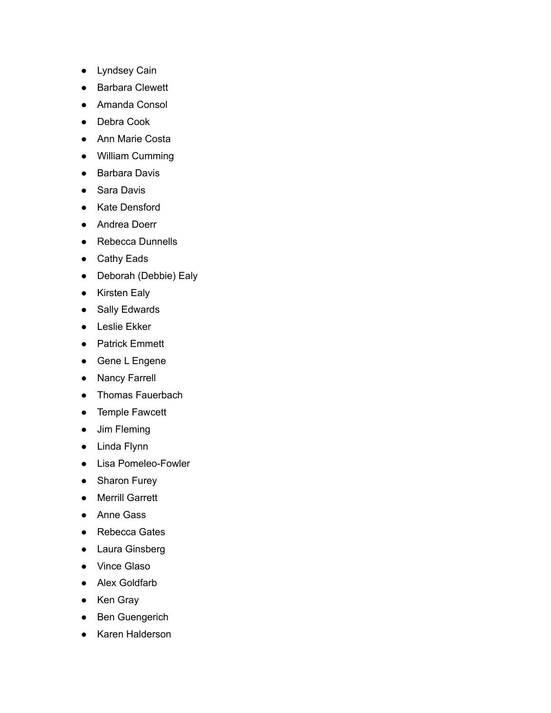- Lyndsey Cain
- **Barbara Clewett**
- Amanda Consol
- Debra Cook
- Ann Marie Costa
- William Cumming
- Barbara Davis
- Sara Davis
- Kate Densford
- Andrea Doerr
- Rebecca Dunnells
- Cathy Eads
- Deborah (Debbie) Ealy
- Kirsten Ealy
- Sally Edwards
- Leslie Ekker
- Patrick Emmett
- Gene L Engene
- Nancy Farrell
- Thomas Fauerbach
- Temple Fawcett
- Jim Fleming
- Linda Flynn
- Lisa Pomeleo-Fowler
- Sharon Furey
- Merrill Garrett
- Anne Gass
- Rebecca Gates
- Laura Ginsberg
- Vince Glaso
- Alex Goldfarb
- Ken Gray
- Ben Guengerich
- Karen Halderson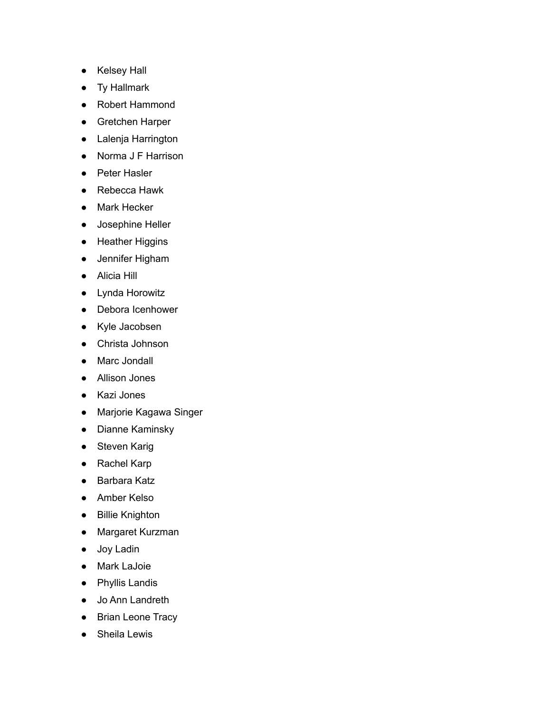- Kelsey Hall
- Ty Hallmark
- Robert Hammond
- Gretchen Harper
- Lalenja Harrington
- Norma J F Harrison
- Peter Hasler
- Rebecca Hawk
- Mark Hecker
- Josephine Heller
- Heather Higgins
- Jennifer Higham
- Alicia Hill
- Lynda Horowitz
- Debora Icenhower
- Kyle Jacobsen
- Christa Johnson
- Marc Jondall
- Allison Jones
- Kazi Jones
- Marjorie Kagawa Singer
- Dianne Kaminsky
- Steven Karig
- Rachel Karp
- Barbara Katz
- Amber Kelso
- Billie Knighton
- Margaret Kurzman
- Joy Ladin
- Mark LaJoie
- Phyllis Landis
- Jo Ann Landreth
- Brian Leone Tracy
- Sheila Lewis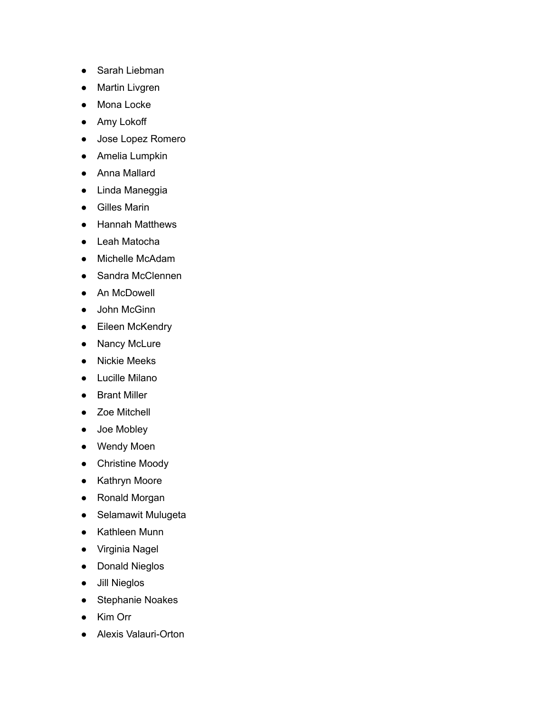- Sarah Liebman
- **Martin Livgren**
- Mona Locke
- Amy Lokoff
- Jose Lopez Romero
- Amelia Lumpkin
- Anna Mallard
- Linda Maneggia
- Gilles Marin
- Hannah Matthews
- Leah Matocha
- Michelle McAdam
- Sandra McClennen
- An McDowell
- John McGinn
- Eileen McKendry
- Nancy McLure
- Nickie Meeks
- Lucille Milano
- Brant Miller
- Zoe Mitchell
- Joe Mobley
- Wendy Moen
- Christine Moody
- Kathryn Moore
- Ronald Morgan
- Selamawit Mulugeta
- Kathleen Munn
- Virginia Nagel
- Donald Nieglos
- Jill Nieglos
- Stephanie Noakes
- Kim Orr
- Alexis Valauri-Orton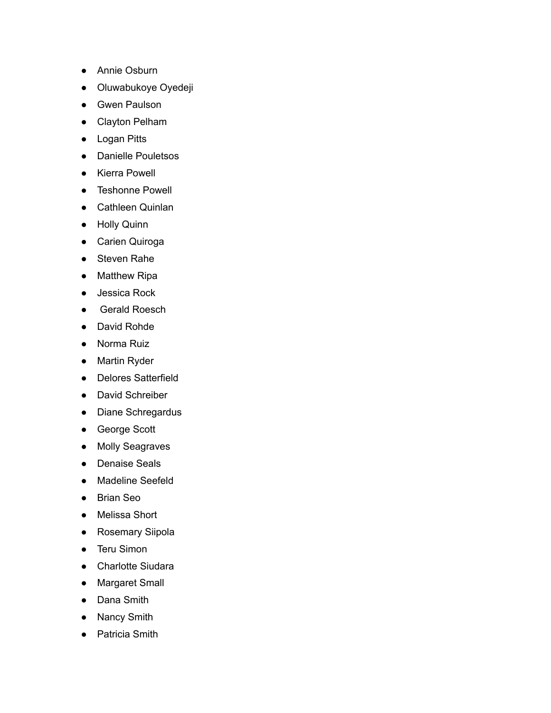- Annie Osburn
- Oluwabukoye Oyedeji
- Gwen Paulson
- Clayton Pelham
- Logan Pitts
- Danielle Pouletsos
- Kierra Powell
- Teshonne Powell
- Cathleen Quinlan
- Holly Quinn
- Carien Quiroga
- Steven Rahe
- Matthew Ripa
- Jessica Rock
- Gerald Roesch
- David Rohde
- Norma Ruiz
- Martin Ryder
- Delores Satterfield
- David Schreiber
- Diane Schregardus
- George Scott
- Molly Seagraves
- Denaise Seals
- Madeline Seefeld
- Brian Seo
- Melissa Short
- Rosemary Siipola
- Teru Simon
- Charlotte Siudara
- Margaret Small
- Dana Smith
- Nancy Smith
- Patricia Smith